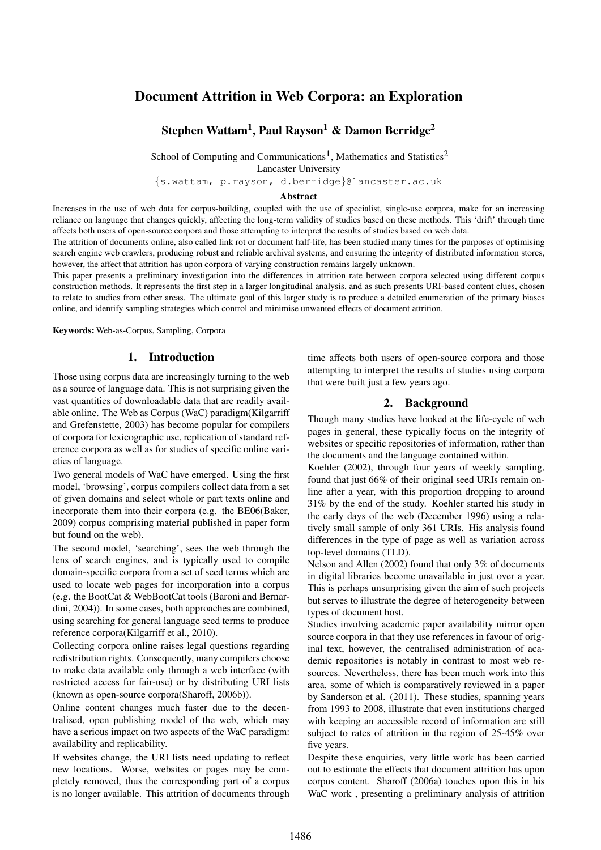# Document Attrition in Web Corpora: an Exploration

# Stephen Wattam<sup>1</sup>, Paul Rayson<sup>1</sup> & Damon Berridge<sup>2</sup>

School of Computing and Communications<sup>1</sup>, Mathematics and Statistics<sup>2</sup>

Lancaster University

{s.wattam, p.rayson, d.berridge}@lancaster.ac.uk

### Abstract

Increases in the use of web data for corpus-building, coupled with the use of specialist, single-use corpora, make for an increasing reliance on language that changes quickly, affecting the long-term validity of studies based on these methods. This 'drift' through time affects both users of open-source corpora and those attempting to interpret the results of studies based on web data.

The attrition of documents online, also called link rot or document half-life, has been studied many times for the purposes of optimising search engine web crawlers, producing robust and reliable archival systems, and ensuring the integrity of distributed information stores, however, the affect that attrition has upon corpora of varying construction remains largely unknown.

This paper presents a preliminary investigation into the differences in attrition rate between corpora selected using different corpus construction methods. It represents the first step in a larger longitudinal analysis, and as such presents URI-based content clues, chosen to relate to studies from other areas. The ultimate goal of this larger study is to produce a detailed enumeration of the primary biases online, and identify sampling strategies which control and minimise unwanted effects of document attrition.

Keywords: Web-as-Corpus, Sampling, Corpora

#### 1. Introduction

Those using corpus data are increasingly turning to the web as a source of language data. This is not surprising given the vast quantities of downloadable data that are readily available online. The Web as Corpus (WaC) paradigm(Kilgarriff and Grefenstette, 2003) has become popular for compilers of corpora for lexicographic use, replication of standard reference corpora as well as for studies of specific online varieties of language.

Two general models of WaC have emerged. Using the first model, 'browsing', corpus compilers collect data from a set of given domains and select whole or part texts online and incorporate them into their corpora (e.g. the BE06(Baker, 2009) corpus comprising material published in paper form but found on the web).

The second model, 'searching', sees the web through the lens of search engines, and is typically used to compile domain-specific corpora from a set of seed terms which are used to locate web pages for incorporation into a corpus (e.g. the BootCat & WebBootCat tools (Baroni and Bernardini, 2004)). In some cases, both approaches are combined, using searching for general language seed terms to produce reference corpora(Kilgarriff et al., 2010).

Collecting corpora online raises legal questions regarding redistribution rights. Consequently, many compilers choose to make data available only through a web interface (with restricted access for fair-use) or by distributing URI lists (known as open-source corpora(Sharoff, 2006b)).

Online content changes much faster due to the decentralised, open publishing model of the web, which may have a serious impact on two aspects of the WaC paradigm: availability and replicability.

If websites change, the URI lists need updating to reflect new locations. Worse, websites or pages may be completely removed, thus the corresponding part of a corpus is no longer available. This attrition of documents through time affects both users of open-source corpora and those attempting to interpret the results of studies using corpora that were built just a few years ago.

## 2. Background

Though many studies have looked at the life-cycle of web pages in general, these typically focus on the integrity of websites or specific repositories of information, rather than the documents and the language contained within.

Koehler (2002), through four years of weekly sampling, found that just 66% of their original seed URIs remain online after a year, with this proportion dropping to around 31% by the end of the study. Koehler started his study in the early days of the web (December 1996) using a relatively small sample of only 361 URIs. His analysis found differences in the type of page as well as variation across top-level domains (TLD).

Nelson and Allen (2002) found that only 3% of documents in digital libraries become unavailable in just over a year. This is perhaps unsurprising given the aim of such projects but serves to illustrate the degree of heterogeneity between types of document host.

Studies involving academic paper availability mirror open source corpora in that they use references in favour of original text, however, the centralised administration of academic repositories is notably in contrast to most web resources. Nevertheless, there has been much work into this area, some of which is comparatively reviewed in a paper by Sanderson et al. (2011). These studies, spanning years from 1993 to 2008, illustrate that even institutions charged with keeping an accessible record of information are still subject to rates of attrition in the region of 25-45% over five years.

Despite these enquiries, very little work has been carried out to estimate the effects that document attrition has upon corpus content. Sharoff (2006a) touches upon this in his WaC work , presenting a preliminary analysis of attrition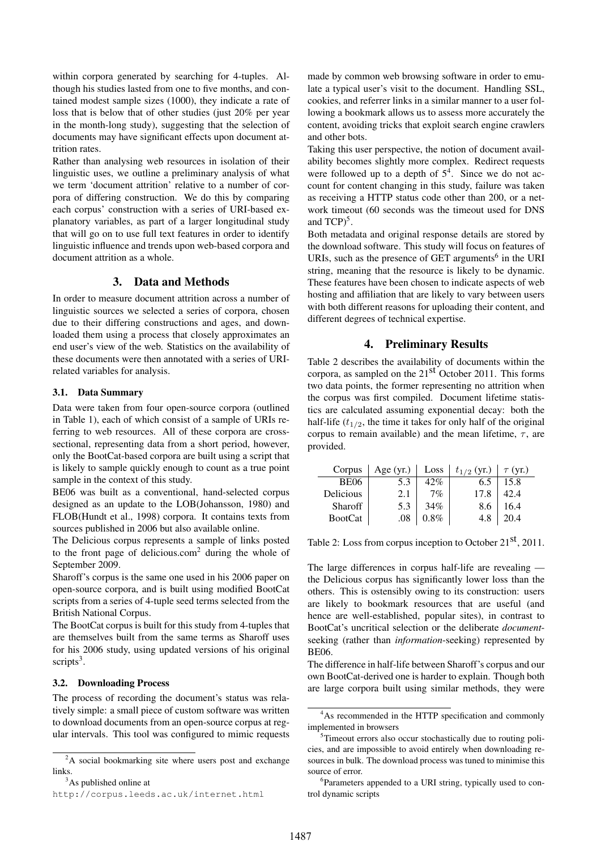within corpora generated by searching for 4-tuples. Although his studies lasted from one to five months, and contained modest sample sizes (1000), they indicate a rate of loss that is below that of other studies (just 20% per year in the month-long study), suggesting that the selection of documents may have significant effects upon document attrition rates.

Rather than analysing web resources in isolation of their linguistic uses, we outline a preliminary analysis of what we term 'document attrition' relative to a number of corpora of differing construction. We do this by comparing each corpus' construction with a series of URI-based explanatory variables, as part of a larger longitudinal study that will go on to use full text features in order to identify linguistic influence and trends upon web-based corpora and document attrition as a whole.

# 3. Data and Methods

In order to measure document attrition across a number of linguistic sources we selected a series of corpora, chosen due to their differing constructions and ages, and downloaded them using a process that closely approximates an end user's view of the web. Statistics on the availability of these documents were then annotated with a series of URIrelated variables for analysis.

## 3.1. Data Summary

Data were taken from four open-source corpora (outlined in Table 1), each of which consist of a sample of URIs referring to web resources. All of these corpora are crosssectional, representing data from a short period, however, only the BootCat-based corpora are built using a script that is likely to sample quickly enough to count as a true point sample in the context of this study.

BE06 was built as a conventional, hand-selected corpus designed as an update to the LOB(Johansson, 1980) and FLOB(Hundt et al., 1998) corpora. It contains texts from sources published in 2006 but also available online.

The Delicious corpus represents a sample of links posted to the front page of delicious.com<sup>2</sup> during the whole of September 2009.

Sharoff's corpus is the same one used in his 2006 paper on open-source corpora, and is built using modified BootCat scripts from a series of 4-tuple seed terms selected from the British National Corpus.

The BootCat corpus is built for this study from 4-tuples that are themselves built from the same terms as Sharoff uses for his 2006 study, using updated versions of his original scripts<sup>3</sup>.

#### 3.2. Downloading Process

The process of recording the document's status was relatively simple: a small piece of custom software was written to download documents from an open-source corpus at regular intervals. This tool was configured to mimic requests

 $3$ As published online at

made by common web browsing software in order to emulate a typical user's visit to the document. Handling SSL, cookies, and referrer links in a similar manner to a user following a bookmark allows us to assess more accurately the content, avoiding tricks that exploit search engine crawlers and other bots.

Taking this user perspective, the notion of document availability becomes slightly more complex. Redirect requests were followed up to a depth of  $5<sup>4</sup>$ . Since we do not account for content changing in this study, failure was taken as receiving a HTTP status code other than 200, or a network timeout (60 seconds was the timeout used for DNS and  $TCP)^5$ .

Both metadata and original response details are stored by the download software. This study will focus on features of URIs, such as the presence of GET arguments<sup>6</sup> in the URI string, meaning that the resource is likely to be dynamic. These features have been chosen to indicate aspects of web hosting and affiliation that are likely to vary between users with both different reasons for uploading their content, and different degrees of technical expertise.

## 4. Preliminary Results

Table 2 describes the availability of documents within the corpora, as sampled on the 21st October 2011. This forms two data points, the former representing no attrition when the corpus was first compiled. Document lifetime statistics are calculated assuming exponential decay: both the half-life  $(t_{1/2}$ , the time it takes for only half of the original corpus to remain available) and the mean lifetime,  $\tau$ , are provided.

| Corpus         | Age $(yr.)$ | Loss | $t_{1/2}$ (yr.) | $\tau$ (yr.) |
|----------------|-------------|------|-----------------|--------------|
| <b>BE06</b>    | 5.3         | 42%  | 6.5             | 15.8         |
| Delicious      | 2.1         | 7%   | 17.8            | 42.4         |
| Sharoff        | 5.3         | 34%  | 8.6             | 16.4         |
| <b>BootCat</b> |             | 0 ጻ% |                 |              |

Table 2: Loss from corpus inception to October 21<sup>st</sup>, 2011.

The large differences in corpus half-life are revealing the Delicious corpus has significantly lower loss than the others. This is ostensibly owing to its construction: users are likely to bookmark resources that are useful (and hence are well-established, popular sites), in contrast to BootCat's uncritical selection or the deliberate *document*seeking (rather than *information*-seeking) represented by BE06.

The difference in half-life between Sharoff's corpus and our own BootCat-derived one is harder to explain. Though both are large corpora built using similar methods, they were

<sup>&</sup>lt;sup>2</sup>A social bookmarking site where users post and exchange links.

http://corpus.leeds.ac.uk/internet.html

<sup>&</sup>lt;sup>4</sup>As recommended in the HTTP specification and commonly implemented in browsers

<sup>&</sup>lt;sup>5</sup>Timeout errors also occur stochastically due to routing policies, and are impossible to avoid entirely when downloading resources in bulk. The download process was tuned to minimise this source of error.

<sup>&</sup>lt;sup>6</sup>Parameters appended to a URI string, typically used to control dynamic scripts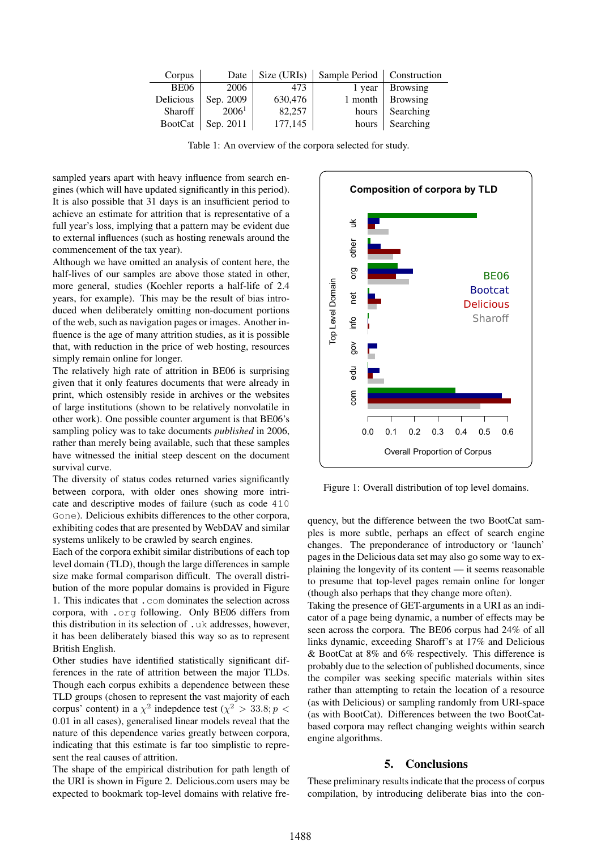| Corpus         | Date              | Size (URIs) | Sample Period   Construction |                 |
|----------------|-------------------|-------------|------------------------------|-----------------|
| <b>BE06</b>    | 2006              | 473         | 1 year                       | <b>Browsing</b> |
| Delicious      | Sep. 2009         | 630,476     | 1 month                      | <b>Browsing</b> |
| Sharoff        | 2006 <sup>1</sup> | 82,257      | hours                        | Searching       |
| <b>BootCat</b> | Sep. 2011         | 177,145     | hours                        | Searching       |

Table 1: An overview of the corpora selected for study.

sampled years apart with heavy influence from search engines (which will have updated significantly in this period). It is also possible that 31 days is an insufficient period to achieve an estimate for attrition that is representative of a full year's loss, implying that a pattern may be evident due to external influences (such as hosting renewals around the commencement of the tax year).

Although we have omitted an analysis of content here, the half-lives of our samples are above those stated in other, more general, studies (Koehler reports a half-life of 2.4 years, for example). This may be the result of bias introduced when deliberately omitting non-document portions of the web, such as navigation pages or images. Another influence is the age of many attrition studies, as it is possible that, with reduction in the price of web hosting, resources simply remain online for longer.

The relatively high rate of attrition in BE06 is surprising given that it only features documents that were already in print, which ostensibly reside in archives or the websites of large institutions (shown to be relatively nonvolatile in other work). One possible counter argument is that BE06's sampling policy was to take documents *published* in 2006, rather than merely being available, such that these samples have witnessed the initial steep descent on the document survival curve.

The diversity of status codes returned varies significantly between corpora, with older ones showing more intricate and descriptive modes of failure (such as code 410 Gone). Delicious exhibits differences to the other corpora, exhibiting codes that are presented by WebDAV and similar systems unlikely to be crawled by search engines.

Each of the corpora exhibit similar distributions of each top level domain (TLD), though the large differences in sample size make formal comparison difficult. The overall distribution of the more popular domains is provided in Figure 1. This indicates that .com dominates the selection across corpora, with .org following. Only BE06 differs from this distribution in its selection of .uk addresses, however, it has been deliberately biased this way so as to represent British English.

Other studies have identified statistically significant differences in the rate of attrition between the major TLDs. Though each corpus exhibits a dependence between these TLD groups (chosen to represent the vast majority of each corpus' content) in a  $\chi^2$  indepdence test ( $\chi^2 > 33.8; p <$ 0.01 in all cases), generalised linear models reveal that the nature of this dependence varies greatly between corpora, indicating that this estimate is far too simplistic to represent the real causes of attrition. full pear's loos, implying that a pattern may be vident due<br>to external influences (such as bosting renewals around the<br>commencement of the tax year.)<br>Although we have omitted an analysis of content here, the<br>Michieva of

The shape of the empirical distribution for path length of the URI is shown in Figure 2. Delicious.com users may be



Figure 1: Overall distribution of top level domains.

quency, but the difference between the two BootCat samples is more subtle, perhaps an effect of search engine changes. The preponderance of introductory or 'launch' pages in the Delicious data set may also go some way to explaining the longevity of its content — it seems reasonable to presume that top-level pages remain online for longer (though also perhaps that they change more often).

Taking the presence of GET-arguments in a URI as an indicator of a page being dynamic, a number of effects may be seen across the corpora. The BE06 corpus had 24% of all links dynamic, exceeding Sharoff's at 17% and Delicious & BootCat at 8% and 6% respectively. This difference is probably due to the selection of published documents, since the compiler was seeking specific materials within sites rather than attempting to retain the location of a resource (as with Delicious) or sampling randomly from URI-space (as with BootCat). Differences between the two BootCatbased corpora may reflect changing weights within search engine algorithms.

#### 5. Conclusions

These preliminary results indicate that the process of corpus compilation, by introducing deliberate bias into the con-